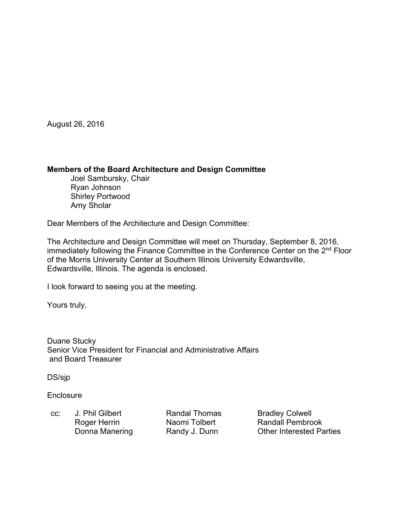August 26, 2016

#### **Members of the Board Architecture and Design Committee**

 Joel Sambursky, Chair Ryan Johnson Shirley Portwood Amy Sholar

Dear Members of the Architecture and Design Committee:

The Architecture and Design Committee will meet on Thursday, September 8, 2016, immediately following the Finance Committee in the Conference Center on the 2<sup>nd</sup> Floor of the Morris University Center at Southern Illinois University Edwardsville, Edwardsville, Illinois. The agenda is enclosed.

I look forward to seeing you at the meeting.

Yours truly,

Duane Stucky Senior Vice President for Financial and Administrative Affairs and Board Treasurer

DS/sjp

**Enclosure** 

cc: J. Phil Gilbert **Randal Thomas** Bradley Colwell

Roger Herrin Naomi Tolbert Randall Pembrook Donna Manering **Randy J. Dunn** Other Interested Parties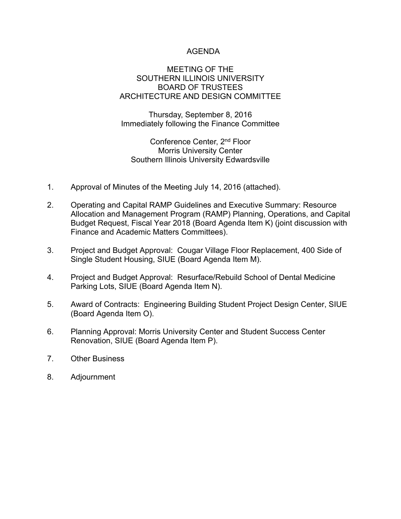# AGENDA

#### MEETING OF THE SOUTHERN ILLINOIS UNIVERSITY BOARD OF TRUSTEES ARCHITECTURE AND DESIGN COMMITTEE

Thursday, September 8, 2016 Immediately following the Finance Committee

Conference Center, 2nd Floor Morris University Center Southern Illinois University Edwardsville

- 1. Approval of Minutes of the Meeting July 14, 2016 (attached).
- 2. Operating and Capital RAMP Guidelines and Executive Summary: Resource Allocation and Management Program (RAMP) Planning, Operations, and Capital Budget Request, Fiscal Year 2018 (Board Agenda Item K) (joint discussion with Finance and Academic Matters Committees).
- 3. Project and Budget Approval: Cougar Village Floor Replacement, 400 Side of Single Student Housing, SIUE (Board Agenda Item M).
- 4. Project and Budget Approval: Resurface/Rebuild School of Dental Medicine Parking Lots, SIUE (Board Agenda Item N).
- 5. Award of Contracts: Engineering Building Student Project Design Center, SIUE (Board Agenda Item O).
- 6. Planning Approval: Morris University Center and Student Success Center Renovation, SIUE (Board Agenda Item P).
- 7. Other Business
- 8. Adjournment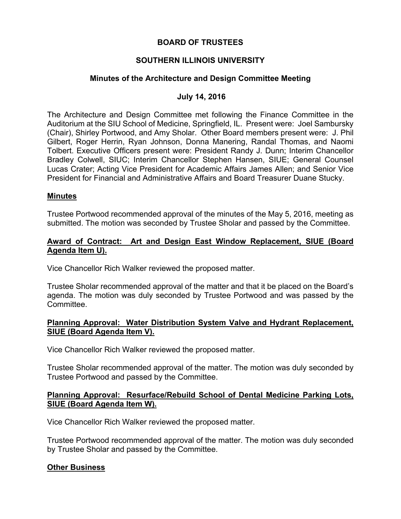## **BOARD OF TRUSTEES**

# **SOUTHERN ILLINOIS UNIVERSITY**

# **Minutes of the Architecture and Design Committee Meeting**

#### **July 14, 2016**

The Architecture and Design Committee met following the Finance Committee in the Auditorium at the SIU School of Medicine, Springfield, IL. Present were: Joel Sambursky (Chair), Shirley Portwood, and Amy Sholar. Other Board members present were: J. Phil Gilbert, Roger Herrin, Ryan Johnson, Donna Manering, Randal Thomas, and Naomi Tolbert. Executive Officers present were: President Randy J. Dunn; Interim Chancellor Bradley Colwell, SIUC; Interim Chancellor Stephen Hansen, SIUE; General Counsel Lucas Crater; Acting Vice President for Academic Affairs James Allen; and Senior Vice President for Financial and Administrative Affairs and Board Treasurer Duane Stucky.

#### **Minutes**

Trustee Portwood recommended approval of the minutes of the May 5, 2016, meeting as submitted. The motion was seconded by Trustee Sholar and passed by the Committee.

# **Award of Contract: Art and Design East Window Replacement, SIUE (Board Agenda Item U).**

Vice Chancellor Rich Walker reviewed the proposed matter.

Trustee Sholar recommended approval of the matter and that it be placed on the Board's agenda. The motion was duly seconded by Trustee Portwood and was passed by the Committee.

## **Planning Approval: Water Distribution System Valve and Hydrant Replacement, SIUE (Board Agenda Item V).**

Vice Chancellor Rich Walker reviewed the proposed matter.

Trustee Sholar recommended approval of the matter. The motion was duly seconded by Trustee Portwood and passed by the Committee.

## **Planning Approval: Resurface/Rebuild School of Dental Medicine Parking Lots, SIUE (Board Agenda Item W).**

Vice Chancellor Rich Walker reviewed the proposed matter.

Trustee Portwood recommended approval of the matter. The motion was duly seconded by Trustee Sholar and passed by the Committee.

## **Other Business**